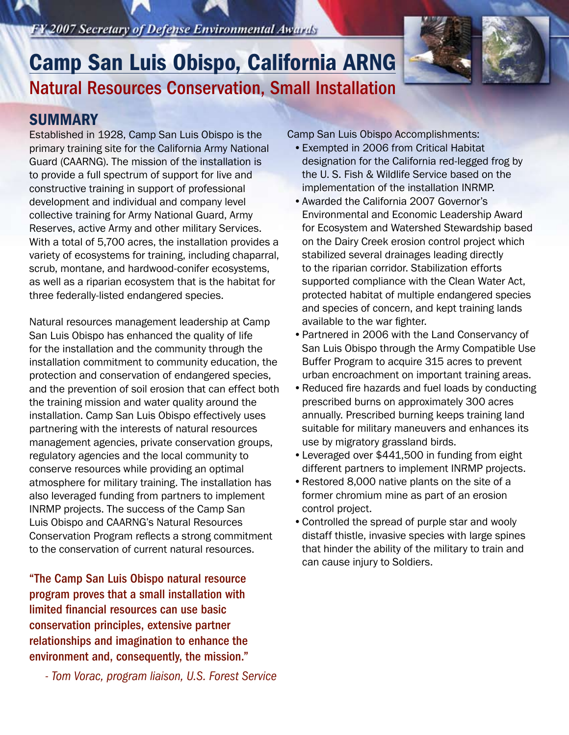*- Tom Vorac, program liaison, U.S. Forest Service*

### FY 2007 Secretary of Defense Environmental Awards

# Natural Resources Conservation, Small Installation Camp San Luis Obispo, California ARNG

# **SUMMARY**

Established in 1928, Camp San Luis Obispo is the primary training site for the California Army National Guard (CAARNG). The mission of the installation is to provide a full spectrum of support for live and constructive training in support of professional development and individual and company level collective training for Army National Guard, Army Reserves, active Army and other military Services. With a total of 5,700 acres, the installation provides a variety of ecosystems for training, including chaparral, scrub, montane, and hardwood-conifer ecosystems, as well as a riparian ecosystem that is the habitat for three federally-listed endangered species.

Natural resources management leadership at Camp San Luis Obispo has enhanced the quality of life for the installation and the community through the installation commitment to community education, the protection and conservation of endangered species, and the prevention of soil erosion that can effect both the training mission and water quality around the installation. Camp San Luis Obispo effectively uses partnering with the interests of natural resources management agencies, private conservation groups, regulatory agencies and the local community to conserve resources while providing an optimal atmosphere for military training. The installation has also leveraged funding from partners to implement INRMP projects. The success of the Camp San Luis Obispo and CAARNG's Natural Resources Conservation Program reflects a strong commitment to the conservation of current natural resources.

"The Camp San Luis Obispo natural resource program proves that a small installation with limited financial resources can use basic conservation principles, extensive partner relationships and imagination to enhance the environment and, consequently, the mission."

Camp San Luis Obispo Accomplishments:

- •Exempted in 2006 from Critical Habitat designation for the California red-legged frog by the U. S. Fish & Wildlife Service based on the implementation of the installation INRMP.
- •Awarded the California 2007 Governor's Environmental and Economic Leadership Award for Ecosystem and Watershed Stewardship based on the Dairy Creek erosion control project which stabilized several drainages leading directly to the riparian corridor. Stabilization efforts supported compliance with the Clean Water Act, protected habitat of multiple endangered species and species of concern, and kept training lands available to the war fighter.
- •Partnered in 2006 with the Land Conservancy of San Luis Obispo through the Army Compatible Use Buffer Program to acquire 315 acres to prevent urban encroachment on important training areas.
- •Reduced fire hazards and fuel loads by conducting prescribed burns on approximately 300 acres annually. Prescribed burning keeps training land suitable for military maneuvers and enhances its use by migratory grassland birds.
- •Leveraged over \$441,500 in funding from eight different partners to implement INRMP projects.
- •Restored 8,000 native plants on the site of a former chromium mine as part of an erosion control project.
- •Controlled the spread of purple star and wooly distaff thistle, invasive species with large spines that hinder the ability of the military to train and can cause injury to Soldiers.

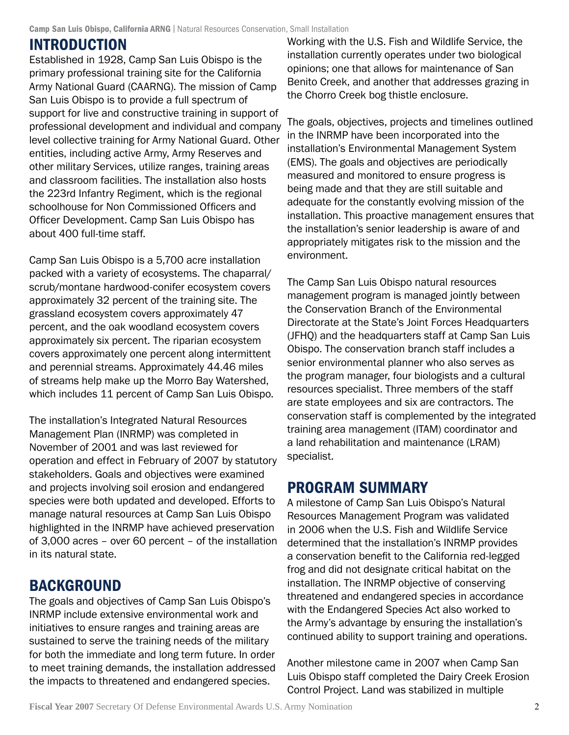# **INTRODUCTION**

Established in 1928, Camp San Luis Obispo is the primary professional training site for the California Army National Guard (CAARNG). The mission of Camp San Luis Obispo is to provide a full spectrum of support for live and constructive training in support of professional development and individual and company level collective training for Army National Guard. Other entities, including active Army, Army Reserves and other military Services, utilize ranges, training areas and classroom facilities. The installation also hosts the 223rd Infantry Regiment, which is the regional schoolhouse for Non Commissioned Officers and Officer Development. Camp San Luis Obispo has about 400 full-time staff.

Camp San Luis Obispo is a 5,700 acre installation packed with a variety of ecosystems. The chaparral/ scrub/montane hardwood-conifer ecosystem covers approximately 32 percent of the training site. The grassland ecosystem covers approximately 47 percent, and the oak woodland ecosystem covers approximately six percent. The riparian ecosystem covers approximately one percent along intermittent and perennial streams. Approximately 44.46 miles of streams help make up the Morro Bay Watershed, which includes 11 percent of Camp San Luis Obispo.

The installation's Integrated Natural Resources Management Plan (INRMP) was completed in November of 2001 and was last reviewed for operation and effect in February of 2007 by statutory stakeholders. Goals and objectives were examined and projects involving soil erosion and endangered species were both updated and developed. Efforts to manage natural resources at Camp San Luis Obispo highlighted in the INRMP have achieved preservation of 3,000 acres – over 60 percent – of the installation in its natural state.

# **BACKGROUND**

The goals and objectives of Camp San Luis Obispo's INRMP include extensive environmental work and initiatives to ensure ranges and training areas are sustained to serve the training needs of the military for both the immediate and long term future. In order to meet training demands, the installation addressed the impacts to threatened and endangered species.

Working with the U.S. Fish and Wildlife Service, the installation currently operates under two biological opinions; one that allows for maintenance of San Benito Creek, and another that addresses grazing in the Chorro Creek bog thistle enclosure.

The goals, objectives, projects and timelines outlined in the INRMP have been incorporated into the installation's Environmental Management System (EMS). The goals and objectives are periodically measured and monitored to ensure progress is being made and that they are still suitable and adequate for the constantly evolving mission of the installation. This proactive management ensures that the installation's senior leadership is aware of and appropriately mitigates risk to the mission and the environment.

The Camp San Luis Obispo natural resources management program is managed jointly between the Conservation Branch of the Environmental Directorate at the State's Joint Forces Headquarters (JFHQ) and the headquarters staff at Camp San Luis Obispo. The conservation branch staff includes a senior environmental planner who also serves as the program manager, four biologists and a cultural resources specialist. Three members of the staff are state employees and six are contractors. The conservation staff is complemented by the integrated training area management (ITAM) coordinator and a land rehabilitation and maintenance (LRAM) specialist.

# Program Summary

A milestone of Camp San Luis Obispo's Natural Resources Management Program was validated in 2006 when the U.S. Fish and Wildlife Service determined that the installation's INRMP provides a conservation benefit to the California red-legged frog and did not designate critical habitat on the installation. The INRMP objective of conserving threatened and endangered species in accordance with the Endangered Species Act also worked to the Army's advantage by ensuring the installation's continued ability to support training and operations.

Another milestone came in 2007 when Camp San Luis Obispo staff completed the Dairy Creek Erosion Control Project. Land was stabilized in multiple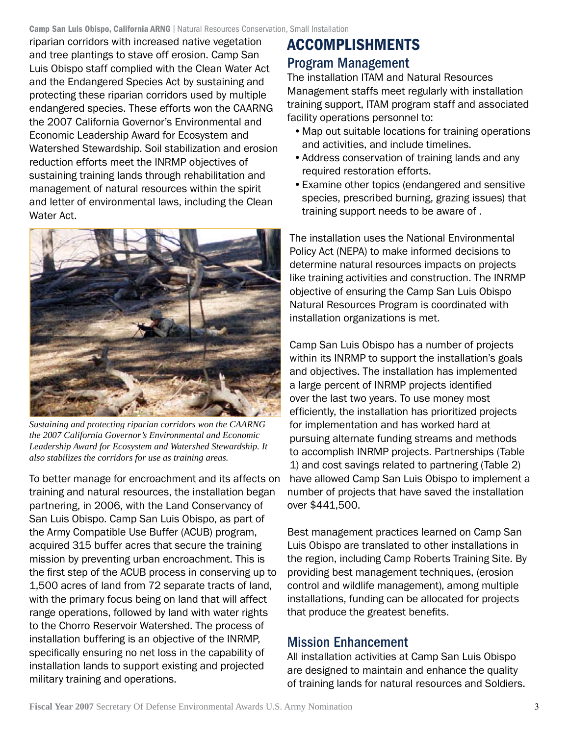riparian corridors with increased native vegetation and tree plantings to stave off erosion. Camp San Luis Obispo staff complied with the Clean Water Act and the Endangered Species Act by sustaining and protecting these riparian corridors used by multiple endangered species. These efforts won the CAARNG the 2007 California Governor's Environmental and Economic Leadership Award for Ecosystem and Watershed Stewardship. Soil stabilization and erosion reduction efforts meet the INRMP objectives of sustaining training lands through rehabilitation and management of natural resources within the spirit and letter of environmental laws, including the Clean Water Act.



*Sustaining and protecting riparian corridors won the CAARNG the 2007 California Governor's Environmental and Economic Leadership Award for Ecosystem and Watershed Stewardship. It also stabilizes the corridors for use as training areas.*

To better manage for encroachment and its affects on training and natural resources, the installation began partnering, in 2006, with the Land Conservancy of San Luis Obispo. Camp San Luis Obispo, as part of the Army Compatible Use Buffer (ACUB) program, acquired 315 buffer acres that secure the training mission by preventing urban encroachment. This is the first step of the ACUB process in conserving up to 1,500 acres of land from 72 separate tracts of land, with the primary focus being on land that will affect range operations, followed by land with water rights to the Chorro Reservoir Watershed. The process of installation buffering is an objective of the INRMP, specifically ensuring no net loss in the capability of installation lands to support existing and projected military training and operations.

# Accomplishments Program Management

The installation ITAM and Natural Resources Management staffs meet regularly with installation training support, ITAM program staff and associated facility operations personnel to:

- •Map out suitable locations for training operations and activities, and include timelines.
- •Address conservation of training lands and any required restoration efforts.
- •Examine other topics (endangered and sensitive species, prescribed burning, grazing issues) that training support needs to be aware of .

The installation uses the National Environmental Policy Act (NEPA) to make informed decisions to determine natural resources impacts on projects like training activities and construction. The INRMP objective of ensuring the Camp San Luis Obispo Natural Resources Program is coordinated with installation organizations is met.

Camp San Luis Obispo has a number of projects within its INRMP to support the installation's goals and objectives. The installation has implemented a large percent of INRMP projects identified over the last two years. To use money most efficiently, the installation has prioritized projects for implementation and has worked hard at pursuing alternate funding streams and methods to accomplish INRMP projects. Partnerships (Table 1) and cost savings related to partnering (Table 2) have allowed Camp San Luis Obispo to implement a number of projects that have saved the installation over \$441,500.

Best management practices learned on Camp San Luis Obispo are translated to other installations in the region, including Camp Roberts Training Site. By providing best management techniques, (erosion control and wildlife management), among multiple installations, funding can be allocated for projects that produce the greatest benefits.

# Mission Enhancement

All installation activities at Camp San Luis Obispo are designed to maintain and enhance the quality of training lands for natural resources and Soldiers.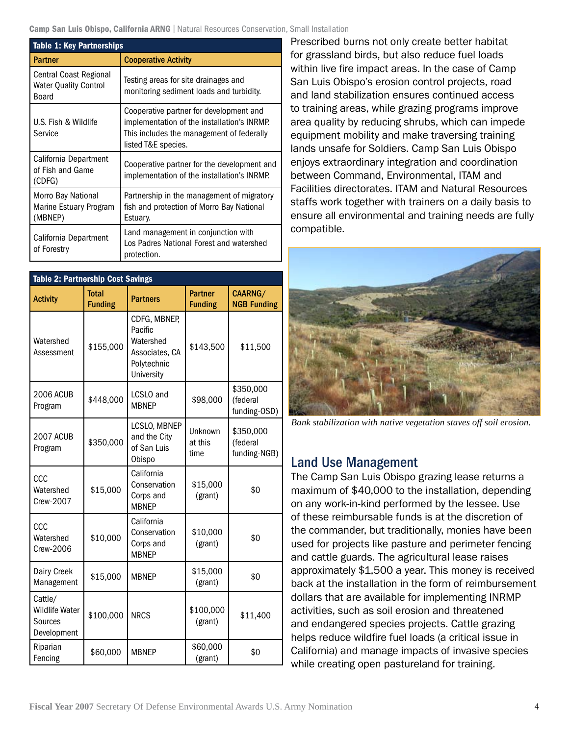| <b>Table 1: Key Partnerships</b>                                |                                                                                                                                                            |  |  |  |
|-----------------------------------------------------------------|------------------------------------------------------------------------------------------------------------------------------------------------------------|--|--|--|
| <b>Partner</b>                                                  | <b>Cooperative Activity</b>                                                                                                                                |  |  |  |
| Central Coast Regional<br><b>Water Quality Control</b><br>Board | Testing areas for site drainages and<br>monitoring sediment loads and turbidity.                                                                           |  |  |  |
| U.S. Fish & Wildlife<br>Service                                 | Cooperative partner for development and<br>implementation of the installation's INRMP.<br>This includes the management of federally<br>listed T&E species. |  |  |  |
| California Department<br>of Fish and Game<br>(CDFG)             | Cooperative partner for the development and<br>implementation of the installation's INRMP.                                                                 |  |  |  |
| Morro Bay National<br>Marine Estuary Program<br>(MBNEP)         | Partnership in the management of migratory<br>fish and protection of Morro Bay National<br>Estuary.                                                        |  |  |  |
| California Department<br>of Forestry                            | Land management in conjunction with<br>Los Padres National Forest and watershed<br>protection.                                                             |  |  |  |

| Table 2: Partnership Cost Savings                          |                                |                                                                                     |                                  |                                       |  |
|------------------------------------------------------------|--------------------------------|-------------------------------------------------------------------------------------|----------------------------------|---------------------------------------|--|
| <b>Activity</b>                                            | <b>Total</b><br><b>Funding</b> | <b>Partners</b>                                                                     | <b>Partner</b><br><b>Funding</b> | CAARNG/<br><b>NGB Funding</b>         |  |
| Watershed<br>Assessment                                    | \$155,000                      | CDFG, MBNEP,<br>Pacific<br>Watershed<br>Associates, CA<br>Polytechnic<br>University | \$143,500                        | \$11,500                              |  |
| <b>2006 ACUB</b><br>Program                                | \$448,000                      | LCSLO and<br><b>MBNEP</b>                                                           | \$98,000                         | \$350,000<br>(federal<br>funding-OSD) |  |
| <b>2007 ACUB</b><br>Program                                | \$350,000                      | LCSLO, MBNEP<br>and the City<br>of San Luis<br>Obispo                               | Unknown<br>at this<br>time       | \$350,000<br>(federal<br>funding-NGB) |  |
| CCC<br>Watershed<br>Crew-2007                              | \$15,000                       | California<br>Conservation<br>Corps and<br><b>MBNEP</b>                             | \$15,000<br>(grant)              | \$0                                   |  |
| CCC<br>Watershed<br>Crew-2006                              | \$10,000                       | California<br>Conservation<br>Corps and<br><b>MBNEP</b>                             | \$10,000<br>(grant)              | \$0                                   |  |
| Dairy Creek<br>Management                                  | \$15,000                       | <b>MBNEP</b>                                                                        | \$15,000<br>(grant)              | \$0                                   |  |
| Cattle/<br><b>Wildlife Water</b><br>Sources<br>Development | \$100,000                      | <b>NRCS</b>                                                                         | \$100,000<br>(grant)             | \$11,400                              |  |
| Riparian<br>Fencing                                        | \$60,000                       | <b>MBNEP</b>                                                                        | \$60,000<br>(grant)              | \$0                                   |  |

Prescribed burns not only create better habitat for grassland birds, but also reduce fuel loads within live fire impact areas. In the case of Camp San Luis Obispo's erosion control projects, road and land stabilization ensures continued access to training areas, while grazing programs improve area quality by reducing shrubs, which can impede equipment mobility and make traversing training lands unsafe for Soldiers. Camp San Luis Obispo enjoys extraordinary integration and coordination between Command, Environmental, ITAM and Facilities directorates. ITAM and Natural Resources staffs work together with trainers on a daily basis to ensure all environmental and training needs are fully compatible.



 *Bank stabilization with native vegetation staves off soil erosion.*

#### Land Use Management

The Camp San Luis Obispo grazing lease returns a maximum of \$40,000 to the installation, depending on any work-in-kind performed by the lessee. Use of these reimbursable funds is at the discretion of the commander, but traditionally, monies have been used for projects like pasture and perimeter fencing and cattle guards. The agricultural lease raises approximately \$1,500 a year. This money is received back at the installation in the form of reimbursement dollars that are available for implementing INRMP activities, such as soil erosion and threatened and endangered species projects. Cattle grazing helps reduce wildfire fuel loads (a critical issue in California) and manage impacts of invasive species while creating open pastureland for training.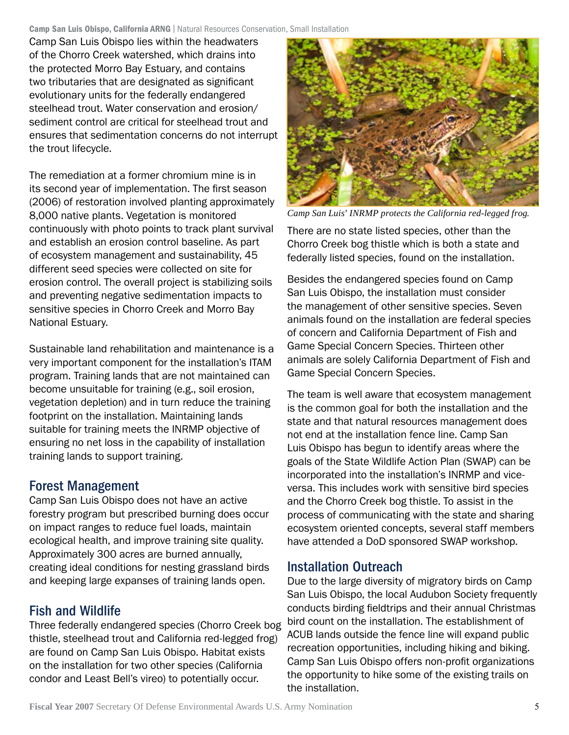Camp San Luis Obispo lies within the headwaters of the Chorro Creek watershed, which drains into the protected Morro Bay Estuary, and contains two tributaries that are designated as significant evolutionary units for the federally endangered steelhead trout. Water conservation and erosion/ sediment control are critical for steelhead trout and ensures that sedimentation concerns do not interrupt the trout lifecycle.

The remediation at a former chromium mine is in its second year of implementation. The first season (2006) of restoration involved planting approximately 8,000 native plants. Vegetation is monitored continuously with photo points to track plant survival and establish an erosion control baseline. As part of ecosystem management and sustainability, 45 different seed species were collected on site for erosion control. The overall project is stabilizing soils and preventing negative sedimentation impacts to sensitive species in Chorro Creek and Morro Bay National Estuary.

Sustainable land rehabilitation and maintenance is a very important component for the installation's ITAM program. Training lands that are not maintained can become unsuitable for training (e.g., soil erosion, vegetation depletion) and in turn reduce the training footprint on the installation. Maintaining lands suitable for training meets the INRMP objective of ensuring no net loss in the capability of installation training lands to support training.

# Forest Management

Camp San Luis Obispo does not have an active forestry program but prescribed burning does occur on impact ranges to reduce fuel loads, maintain ecological health, and improve training site quality. Approximately 300 acres are burned annually, creating ideal conditions for nesting grassland birds and keeping large expanses of training lands open.

# Fish and Wildlife

Three federally endangered species (Chorro Creek bog thistle, steelhead trout and California red-legged frog) are found on Camp San Luis Obispo. Habitat exists on the installation for two other species (California condor and Least Bell's vireo) to potentially occur.



*Camp San Luis' INRMP protects the California red-legged frog.*

There are no state listed species, other than the Chorro Creek bog thistle which is both a state and federally listed species, found on the installation.

Besides the endangered species found on Camp San Luis Obispo, the installation must consider the management of other sensitive species. Seven animals found on the installation are federal species of concern and California Department of Fish and Game Special Concern Species. Thirteen other animals are solely California Department of Fish and Game Special Concern Species.

The team is well aware that ecosystem management is the common goal for both the installation and the state and that natural resources management does not end at the installation fence line. Camp San Luis Obispo has begun to identify areas where the goals of the State Wildlife Action Plan (SWAP) can be incorporated into the installation's INRMP and viceversa. This includes work with sensitive bird species and the Chorro Creek bog thistle. To assist in the process of communicating with the state and sharing ecosystem oriented concepts, several staff members have attended a DoD sponsored SWAP workshop.

### Installation Outreach

Due to the large diversity of migratory birds on Camp San Luis Obispo, the local Audubon Society frequently conducts birding fieldtrips and their annual Christmas bird count on the installation. The establishment of ACUB lands outside the fence line will expand public recreation opportunities, including hiking and biking. Camp San Luis Obispo offers non-profit organizations the opportunity to hike some of the existing trails on the installation.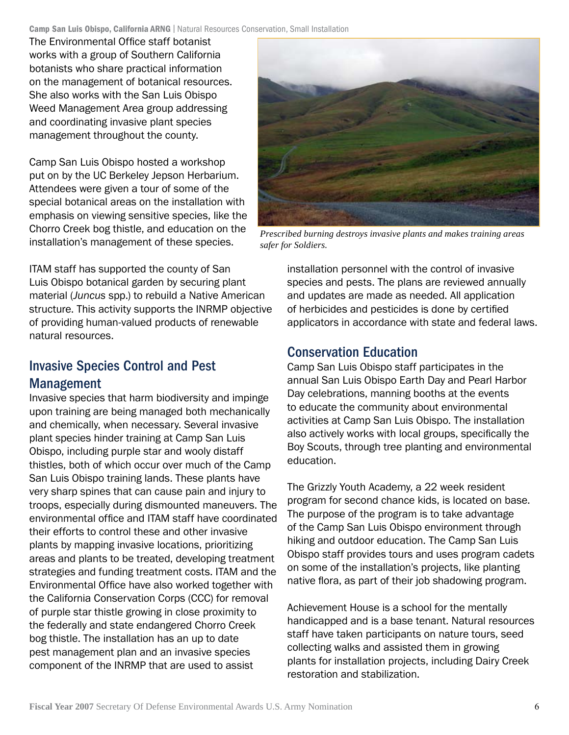The Environmental Office staff botanist works with a group of Southern California botanists who share practical information on the management of botanical resources. She also works with the San Luis Obispo Weed Management Area group addressing and coordinating invasive plant species management throughout the county.

Camp San Luis Obispo hosted a workshop put on by the UC Berkeley Jepson Herbarium. Attendees were given a tour of some of the special botanical areas on the installation with emphasis on viewing sensitive species, like the Chorro Creek bog thistle, and education on the installation's management of these species.

ITAM staff has supported the county of San Luis Obispo botanical garden by securing plant material (*Juncus* spp.) to rebuild a Native American structure. This activity supports the INRMP objective of providing human-valued products of renewable natural resources.

# Invasive Species Control and Pest Management

Invasive species that harm biodiversity and impinge upon training are being managed both mechanically and chemically, when necessary. Several invasive plant species hinder training at Camp San Luis Obispo, including purple star and wooly distaff thistles, both of which occur over much of the Camp San Luis Obispo training lands. These plants have very sharp spines that can cause pain and injury to troops, especially during dismounted maneuvers. The environmental office and ITAM staff have coordinated their efforts to control these and other invasive plants by mapping invasive locations, prioritizing areas and plants to be treated, developing treatment strategies and funding treatment costs. ITAM and the Environmental Office have also worked together with the California Conservation Corps (CCC) for removal of purple star thistle growing in close proximity to the federally and state endangered Chorro Creek bog thistle. The installation has an up to date pest management plan and an invasive species component of the INRMP that are used to assist



*Prescribed burning destroys invasive plants and makes training areas safer for Soldiers.*

installation personnel with the control of invasive species and pests. The plans are reviewed annually and updates are made as needed. All application of herbicides and pesticides is done by certified applicators in accordance with state and federal laws.

# Conservation Education

Camp San Luis Obispo staff participates in the annual San Luis Obispo Earth Day and Pearl Harbor Day celebrations, manning booths at the events to educate the community about environmental activities at Camp San Luis Obispo. The installation also actively works with local groups, specifically the Boy Scouts, through tree planting and environmental education.

The Grizzly Youth Academy, a 22 week resident program for second chance kids, is located on base. The purpose of the program is to take advantage of the Camp San Luis Obispo environment through hiking and outdoor education. The Camp San Luis Obispo staff provides tours and uses program cadets on some of the installation's projects, like planting native flora, as part of their job shadowing program.

Achievement House is a school for the mentally handicapped and is a base tenant. Natural resources staff have taken participants on nature tours, seed collecting walks and assisted them in growing plants for installation projects, including Dairy Creek restoration and stabilization.